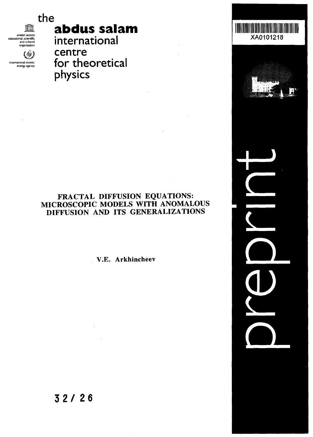the

nun united nations educational, scientific and cultural organization

 $\bigcirc$ international atomic energy agency

# **abdus salam** international centre for theoretical

XA0101218

**THE REAL PROPERTY OF STATE OF STATE OF STATE OF STATE OF STATE OF STATE OF STATE OF STATE OF STATE OF STATE O** 

physics

# FRACTAL DIFFUSION EQUATIONS: MICROSCOPIC MODELS WITH ANOMALOUS DIFFUSION AND ITS GENERALIZATIONS

# V.E. Arkhincheev

# **3 2 / 26**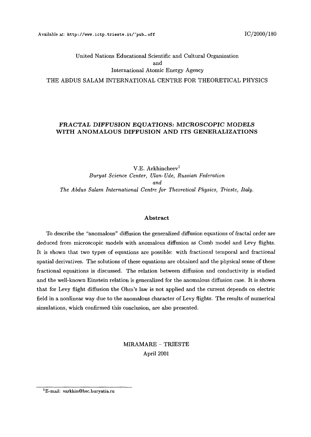# United Nations Educational Scientific and Cultural Organization and International Atomic Energy Agency THE ABDUS SALAM INTERNATIONAL CENTRE FOR THEORETICAL PHYSICS

### **FRACTAL DIFFUSION EQUATIONS: MICROSCOPIC MODELS WITH ANOMALOUS DIFFUSION AND ITS GENERALIZATIONS**

V.E. Arkhincheev<sup>1</sup> *Buryat Science Center, Ulan-Ude, Russian Federation and The Abdus Salam International Centre for Theoretical Physics, Trieste, Italy.*

#### Abstract

To describe the "anomalous" diffusion the generalized diffusion equations of fractal order are deduced from microscopic models with anomalous diffusion as Comb model and Levy flights. It is shown that two types of equations are possible: with fractional temporal and fractional spatial derivatives. The solutions of these equations are obtained and the physical sense of these fractional equaitions is discussed. The relation between diffusion and conductivity is studied and the well-known Einstein relation is generalized for the anomalous diffusion case. It is shown that for Levy flight diffusion the Ohm's law is not applied and the current depends on electric field in a nonlinear way due to the anomalous character of Levy flights. The results of numerical simulations, which confirmed this conclusion, are also presented.

> MIRAMARE - TRIESTE April 2001

<sup>&#</sup>x27;E-mail: varkhin@bsc.buryatia.ru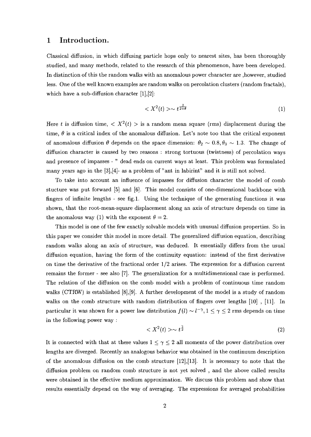### 1 Introduction.

Classical diffusion, in which diffusing particle hops only to nearest sites, has been thoroughly studied, and many methods, related to the research of this phenomenon, have been developed. In distinction of this the random walks with an anomalous power character are ,however, studied less. One of the well known examples are random walks on percolation clusters (random fractals), which have a sub-diffusion character  $[1],[2]$ :

$$
\langle X^2(t) \rangle \sim t^{\frac{2}{2+\theta}} \tag{1}
$$

Here t is diffusion time,  $\langle X^2(t) \rangle$  is a random mean square (rms) displacement during the time,  $\theta$  is a critical index of the anomalous diffusion. Let's note too that the critical exponent of anomalous diffusion  $\theta$  depends on the space dimension:  $\theta_2 \sim 0.8, \theta_3 \sim 1.3$ . The change of diffusion character is caused by two reasons : strong tortuous (twistness) of percolation ways and presence of impasses - " dead ends on current ways at least. This problem was formulated many years ago in the  $[3]$ ,  $[4]$ - as a problem of "ant in labirint" and it is still not solved.

To take into account an influence of impasses for diffusion character the model of comb stucture was put forward [5] and [6]. This model consists of one-dimensional backbone with fingers of infinite lengths - see fig.l. Using the technique of the generating functions it was shown, that the root-mean-square displacement along an axis of structure depends on time in the anomalous way (1) with the exponent  $\theta = 2$ .

This model is one of the few exactly solvable models with unusual diffusion properties. So in this paper we consider this model in more detail. The generalized diffusion equation, describing random walks along an axis of structure, was deduced. It essentially differs from the usual diffusion equation, having the form of the continuity equation: instead of the first derivative on time the derivative of the fractional order 1/2 arises. The expression for a diffusion current remains the former - see also [7]. The generalization for a multidimensional case is performed. The relation of the diffusion on the comb model with a problem of continuous time random walks (CTRW) is established [8],[9]. A further development of the model is a study of random walks on the comb structure with random distribution of fingers over lengths [10], [11]. In particular it was shown for a power law distribution  $f(l) \sim l^{-\gamma}, 1 \le \gamma \le 2$  rms depends on time in the following power way :

$$
\langle X^2(t) \rangle \sim t^{\frac{\gamma}{2}} \tag{2}
$$

It is connected with that at these values  $1 \leq \gamma \leq 2$  all moments of the power distribution over lengths are diverged. Recently an analogous behavior was obtained in the continuum description of the anomalous diffusion on the comb structure  $[12],[13]$ . It is necessary to note that the diffusion problem on random comb structure is not yet solved , and the above called results were obtained in the effective medium approximation. We discuss this problem and show that results essentially depend on the way of averaging. The expressions for averaged probabilities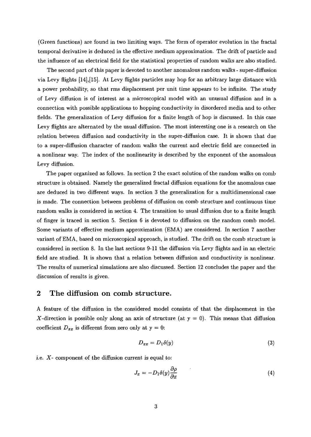(Green functions) are found in two limiting ways. The form of operator evolution in the fractal temporal derivative is deduced in the effective medium approximation. The drift of particle and the influence of an electrical field for the statistical properties of random walks are also studied.

The second part of this paper is devoted to another anomalous random walks - super-diffusion via Levy flights [14],[15]. At Levy flights particles may hop for an arbitrary large distance with a power probability, so that rms displacement per unit time appears to be infinite. The study of Levy diffusion is of interest as a microscopical model with an unusual diffusion and in a connection with possible applications to hopping conductivity in disordered media and to other fields. The generalization of Levy diffusion for a finite length of hop is discussed. In this case Levy flights are alternated by the usual diffusion. The most interesting one is a research on the relation between diffusion and conductivity in the super-diffusion case. It is shown that due to a super-diffusion character of random walks the current and electric field are connected in a nonlinear way. The index of the nonlinearity is described by the exponent of the anomalous Levy diffusion.

The paper organized as follows. In section 2 the exact solution of the random walks on comb structure is obtained. Namely the generalized fractal diffusion equations for the anomalous case are deduced in two different ways. In section 3 the generalization for a multidimensional case is made. The connection between problems of diffusion on comb structure and continuous time random walks is considered in section 4. The transition to usual diffusion due to a finite length of finger is traced in section 5. Section 6 is devoted to diffusion on the random comb model. Some variants of effective medium approximation (EMA) are considered. In section 7 another variant of EMA, based on microscopical approach, is studied. The drift on the comb structure is considered in section 8. In the last sections 9-11 the diffusion via Levy flights and in an electric field are studied. It is shown that a relation between diffusion and conductivity is nonlinear. The results of numerical simulations are also discussed. Section 12 concludes the paper and the discussion of results is given.

### 2 The diffusion on comb structure.

A feature of the diffusion in the considered model consists of that the displacement in the X-direction is possible only along an axis of structure (at  $y = 0$ ). This means that diffusion coefficient  $D_{xx}$  is different from zero only at  $y = 0$ :

$$
D_{xx} = D_1 \delta(y) \tag{3}
$$

i.e. *X-* component of the diffusion current is equal to:

$$
J_x = -D_1 \delta(y) \frac{\partial \rho}{\partial x} \tag{4}
$$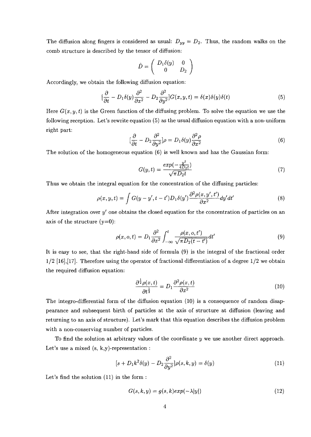The diffusion along fingers is considered as usual:  $D_{yy} = D_2$ . Thus, the random walks on the comb structure is described by the tensor of diffusion:

$$
\hat{D} = \left( \begin{array}{cc} D_1 \delta(y) & 0 \\ 0 & D_2 \end{array} \right)
$$

Accordingly, we obtain the following diffusion equation:

$$
\left[\frac{\partial}{\partial t} - D_1 \delta(y) \frac{\partial^2}{\partial x^2} - D_2 \frac{\partial^2}{\partial y^2}\right] G(x, y, t) = \delta(x)\delta(y)\delta(t)
$$
\n(5)

Here  $G(x, y, t)$  is the Green function of the diffusing problem. To solve the equation we use the following reception. Let's rewrite equation (5) as the usual diffusion equation with a non-uniform right part:

$$
[\frac{\partial}{\partial t} - D_2 \frac{\partial^2}{\partial y^2}]\rho = D_1 \delta(y) \frac{\partial^2 \rho}{\partial x^2}
$$
 (6)

The solution of the homogeneous equation (6) is well known and has the Gaussian form:

$$
G(y,t) = \frac{\exp(-\frac{y^2}{4D_2t})}{\sqrt{\pi D_2 t}}\tag{7}
$$

Thus we obtain the integral equation for the concentration of the diffusing particles:

$$
\rho(x,y,t) = \int G(y-y',t-t')D_1\delta(y')\frac{\partial^2 \rho(x,y',t')}{\partial x^2}dy'dt'
$$
\n(8)

After integration over *y'* one obtains the closed equation for the concentration of particles on an axis of the structure  $(y=0)$ :

$$
\rho(x, o, t) = D_1 \frac{\partial^2}{\partial x^2} \int_{-\infty}^t \frac{\rho(x, o, t')}{\sqrt{\pi D_2(t - t')}} dt'
$$
\n(9)

It is easy to see, that the right-hand side of formula (9) is the integral of the fractional order  $1/2$  [16],[17]. Therefore using the operator of fractional differentiation of a degree  $1/2$  we obtain the required diffusion equation:

$$
\frac{\partial^{\frac{1}{2}}\rho(x,t)}{\partial t^{\frac{1}{2}}} = D_1 \frac{\partial^2 \rho(x,t)}{\partial x^2}
$$
\n(10)

The integro-differential form of the diffusion equation (10) is a consequence of random disappearance and subsequent birth of particles at the axis of structure at diffusion (leaving and returning to an axis of structure). Let's mark that this equation describes the diffusion problem with a non-conserving number of particles.

To find the solution at arbitrary values of the coordinate *y* we use another direct approach. Let's use a mixed  $(s, k, y)$ -representation :

$$
[s+D_1k^2\delta(y)-D_2\frac{\partial^2}{\partial y^2}]\rho(s,k,y)=\delta(y)
$$
\n(11)

Let's find the solution  $(11)$  in the form :

$$
G(s,k,y) = g(s,k)exp(-\lambda|y|)
$$
\n(12)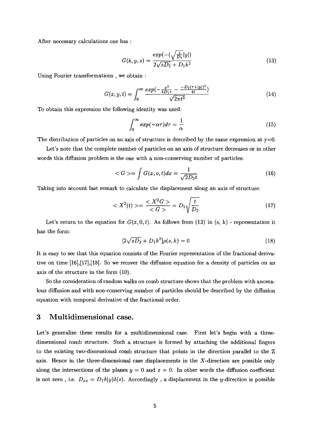After necessary calculations one has :

$$
G(k, y, s) = \frac{\exp(-\left(\sqrt{\frac{s}{D_2}}|y|\right))}{2\sqrt{sD_2} + D_1k^2} \tag{13}
$$

Using Fourier transformations , we obtain :

$$
G(x, y, t) = \int_0^\infty \frac{\exp(-\frac{x^2}{4D_1 \tau} - \frac{-D_2(\tau + |y|)^2}{4t})}{\sqrt{2\pi t^3}}
$$
(14)

To obtain this expression the following identity was used:

$$
\int_0^\infty \exp(-\alpha \tau) d\tau = \frac{1}{\alpha} \tag{15}
$$

The distribution of particles on an axis of structure is described by the same expression at  $y=0$ .

Let's note that the complete number of particles on an axis of structure decreases or in other words this diffusion problem is the one with a non-conserving number of particles:

$$
\langle G \rangle = \int G(x, o, t) dx = \frac{1}{\sqrt{2D_2 t}} \tag{16}
$$

Taking into account last remark to calculate the displacement along an axis of structure:

$$
\langle X^2(t) \rangle = \frac{\langle X^2 G \rangle}{\langle G \rangle} = D_1 \sqrt{\frac{t}{D_2}} \tag{17}
$$

Let's return to the equation for  $G(x,0,t)$ . As follows from (13) in  $(s, k)$  - representation it has the form:

$$
[2\sqrt{sD_2} + D_1k^2]\rho(s,k) = 0\tag{18}
$$

It is easy to see that this equation consists of the Fourier representation of the fractional derivative on time [16],[17],[18]. So we recover the diffusion equation for a density of particles on an axis of the structure in the form (10).

So the consideration of random walks on comb structure shows that the problem with anomalous diffusion and with non-conserving number of particles should be described by the diffusion equation with temporal derivative of the fractional order.

# 3 Multidimensional case.

Let's generalize these results for a multidimensional case. First let's begin with a threedimensional comb structure. Such a structure is formed by attaching the additional fingers to the existing two-dimensional comb structure that points in the direction parallel to the Z axis. Hence in the three-dimensional case displacements in the  $X$ -direction are possible only along the intersections of the planes  $y = 0$  and  $z = 0$ . In other words the diffusion coefficient is not zero, i.e.  $D_{xx} = D_1 \delta(y) \delta(z)$ . Accordingly, a displacement in the y-direction is possible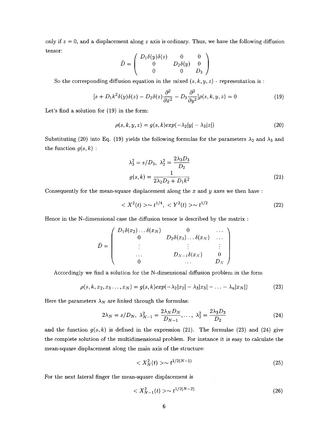only if  $z = 0$ , and a displacement along z axis is ordinary. Thus, we have the following diffusion tensor:

$$
\hat{D} = \begin{pmatrix}\nD_1 \delta(y) \delta(z) & 0 & 0 \\
0 & D_2 \delta(y) & 0 \\
0 & 0 & D_3\n\end{pmatrix}
$$

So the corresponding diffusion equation in the mixed  $(s, k, y, z)$  - representation is :

$$
[s+D_1k^2\delta(y)\delta(z)-D_2\delta(z)\frac{\partial^2}{\partial x^2}-D_3\frac{\partial^2}{\partial y^2}]\rho(s,k,y,z)=0
$$
\n(19)

Let's find a solution for (19) in the form:

$$
\rho(s,k,y,z) = g(s,k)exp(-\lambda_2|y| - \lambda_3|z|)
$$
\n(20)

Substituting (20) into Eq. (19) yields the following formulas for the parameters  $\lambda_2$  and  $\lambda_3$  and the function  $g(s, k)$ :

$$
\lambda_3^2 = s/D_3, \ \lambda_2^2 = \frac{2\lambda_3 D_3}{D_2}
$$

$$
g(s,k) = \frac{1}{2\lambda_2 D_2 + D_1 k^2}
$$
(21)

Consequently for the mean-square displacement along the *x* and *y* axes we then have :

$$
\langle X^2(t) \rangle \sim t^{1/4}, \langle Y^2(t) \rangle \sim t^{1/2} \tag{22}
$$

Hence in the N-dimensional case the diffusion tensor is described by the matrix :

$$
\hat{D} = \left(\begin{array}{cccc} D_1\delta(x_2)\ldots\delta(x_N) & 0 & \ldots \\ 0 & D_2\delta(x_3)\ldots\delta(x_N) & \ldots \\ \vdots & \vdots & \vdots & \vdots \\ 0 & D_{N-1}\delta(x_N) & 0 \\ 0 & \ldots & D_N \end{array}\right)
$$

Accordingly we find a solution for the N-dimensional diffusion problem in the form

$$
\rho(s,k,x_2,x_3\ldots,x_N)=g(s,k)exp(-\lambda_2|x_2|-\lambda_3|x_3|-\ldots-\lambda_n|x_N|)
$$
\n(23)

Here the parameters  $\lambda_N$  are linked through the formulas:

$$
2\lambda_N = s/D_N, \ \lambda_{N-1}^2 = \frac{2\lambda_N D_N}{D_{N-1}}, \dots, \ \lambda_2^2 = \frac{2\lambda_3 D_3}{D_2} \tag{24}
$$

and the function  $g(s, k)$  is defined in the expression (21). The formulae (23) and (24) give the complete solution of the multidimensional problem. For instance it is easy to calculate the mean-square displacement along the main axis of the structure:

$$
\langle X_N^2(t) \rangle \sim t^{1/2(N-1)} \tag{25}
$$

For the next lateral finger the mean-square displacement is

$$
\langle X_{N-1}^2(t) \rangle \sim t^{1/2(N-2)} \tag{26}
$$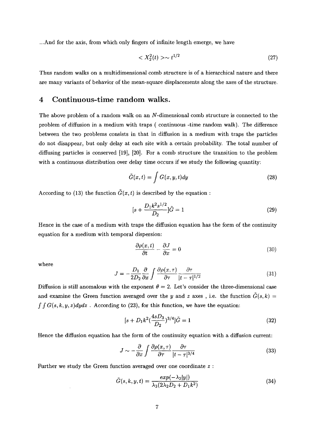...And for the axis, from which only fingers of infinite length emerge, we have

$$
\langle X_2^2(t) \rangle \sim t^{1/2} \tag{27}
$$

Thus random walks on a multidimensional comb structure is of a hierarchical nature and there are many variants of behavior of the mean-square displacements along the axes of the structure.

# 4 Continuous-time random walks.

The above problem of a random walk on an  $N$ -dimensional comb structure is connected to the problem of diffusion in a medium with traps ( continuous -time random walk). The difference between the two problems consists in that in diffusion in a medium with traps the particles do not disappear, but only delay at each site with a certain probability. The total number of diffusing particles is conserved [19], [20]. For a comb structure the transition to the problem with a continuous distribution over delay time occurs if we study the following quantity:

$$
\tilde{G}(x,t) = \int G(x,y,t)dy
$$
\n(28)

According to (13) the function  $\tilde{G}(x,t)$  is described by the equation :

$$
[s + \frac{D_1 k^2 s^{1/2}}{D_2}] \tilde{G} = 1
$$
\n(29)

Hence in the case of a medium with traps the diffusion equation has the form of the continuity equation for a medium with temporal dispersion:

$$
\frac{\partial \rho(x,t)}{\partial t} - \frac{\partial J}{\partial x} = 0 \tag{30}
$$

where

$$
J = -\frac{D_1}{2D_2} \frac{\partial}{\partial x} \int \frac{\partial \rho(x,\tau)}{\partial \tau} \frac{\partial \tau}{|t-\tau|^{1/2}}
$$
(31)

Diffusion is still anomalous with the exponent  $\theta = 2$ . Let's consider the three-dimensional case and examine the Green function averaged over the *y* and *z* axes, i.e. the function  $\bar{G}(s, k) =$  $\int \int G(s, k, y, z) dy dz$ . According to (23), for this function, we have the equation:

$$
[s+D_1k^2(\frac{4sD_3}{D_2})^{3/4}]\tilde{G}=1
$$
\n(32)

Hence the diffusion equation has the form of the continuity equation with a diffusion current:

$$
J \sim -\frac{\partial}{\partial x} \int \frac{\partial \rho(x,\tau)}{\partial \tau} \frac{\partial \tau}{|t-\tau|^{3/4}}
$$
(33)

Further we study the Green function averaged over one coordinate *z :*

$$
\tilde{G}(s,k,y,t) = \frac{\exp(-\lambda_2|y|)}{\lambda_3(2\lambda_2 D_2 + D_1 k^2)}
$$
\n(34)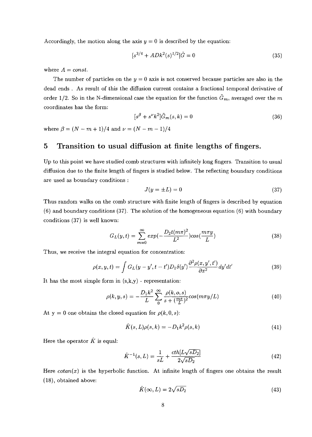Accordingly, the motion along the axis  $y = 0$  is described by the equation:

$$
[s^{3/4} + ADk^2(s)^{1/2}]\tilde{G} = 0
$$
\n(35)

where  $A = const.$ 

The number of particles on the  $y = 0$  axis is not conserved because particles are also in the dead ends . As result of this the diffusion current contains a fractional temporal derivative of order 1/2. So in the N-dimensional case the equation for the function  $\tilde{G}_m$ , averaged over the m coordinates has the form:

$$
[s^{\beta} + s^{\nu}k^2]\tilde{G}_m(s,k) = 0
$$
\n(36)

where  $\beta = (N - m + 1)/4$  and  $\nu = (N - m - 1)/4$ 

# 5 Transition to usual diffusion at finite lengths of fingers.

Up to this point we have studied comb structures with infinitely long fingers. Transition to usual diffusion due to the finite length of fingers is studied below. The reflecting boundary conditions are used as boundary conditions :

$$
J(y = \pm L) = 0 \tag{37}
$$

Thus random walks on the comb structure with finite length of fingers is described by equation (6) and boundary conditions (37). The solution of the homogeneous equation (6) with boundary conditions (37) is well known:

$$
G_L(y,t) = \sum_{m=0}^{\infty} exp(-\frac{D_2 t (m\pi)^2}{L^2}) cos(\frac{m\pi y}{L})
$$
\n(38)

Thus, we receive the integral equation for concentration:

$$
\rho(x,y,t) = \int G_L(y-y',t-t')D_1\delta(y')\frac{\partial^2 \rho(x,y',t')}{\partial x^2}dy'dt'
$$
\n(39)

It has the most simple form in  $(s,k,y)$  - representation:

$$
\rho(k, y, s) = -\frac{D_1 k^2}{L} \sum_{0}^{\infty} \frac{\rho(k, o, s)}{s + (\frac{m\pi}{L})^2} \cos(m\pi y/L)
$$
\n(40)

At  $y = 0$  one obtains the closed equation for  $\rho(k,0,s)$ :

$$
\hat{K}(s,L)\rho(s,k) = -D_1k^2\rho(s,k)
$$
\n(41)

Here the operator  $\hat{K}$  is equal:

$$
\hat{K}^{-1}(s,L) = \frac{1}{sL} + \frac{cth[L\sqrt{sD_2}]}{2\sqrt{sD_2}}
$$
\n(42)

Here  $cotan(x)$  is the hyperbolic function. At infinite length of fingers one obtains the result (18), obtained above:

$$
\hat{K}(\infty, L) = 2\sqrt{sD_2} \tag{43}
$$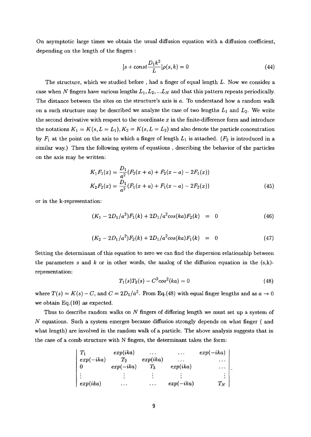On asymptotic large times we obtain the usual diffusion equation with a diffusion coefficient, depending on the length of the fingers :

$$
[s + const \frac{D_1 k^2}{L}] \rho(s, k) = 0 \tag{44}
$$

The structure, which we studied before , had a finger of equal length *L.* Now we consider a case when N fingers have various lengths  $L_1, L_2, ... L_N$  and that this pattern repeats periodically. The distance between the sites on the structure's axis is a. To understand how a random walk on a such structure may be described we analyze the case of two lengths  $L_1$  and  $L_2$ . We write the second derivative with respect to the coordinate *x* in the finite-difference form and introduce the notations  $K_1 = K(s, L = L_1), K_2 = K(s, L = L_2)$  and also denote the particle concentration by  $F_1$  at the point on the axis to which a finger of length  $L_1$  is attached. ( $F_2$  is introduced in a similar way.) Then the following system of equations , describing the behavior of the particles on the axis may be written:

$$
K_1F_1(x) = \frac{D_1}{a^2}(F_2(x+a) + F_2(x-a) - 2F_1(x))
$$
  
\n
$$
K_2F_2(x) = \frac{D_1}{a^2}(F_1(x+a) + F_1(x-a) - 2F_2(x))
$$
\n(45)

or in the k-representation:

$$
(K_1 - 2D_1/a^2)F_1(k) + 2D_1/a^2 \cos(ka)F_2(k) = 0 \qquad (46)
$$

$$
(K_2 - 2D_1/a^2)F_2(k) + 2D_1/a^2 \cos(ka)F_1(k) = 0 \qquad (47)
$$

Setting the determinant of this equation to zero we can find the dispersion relationship between the parameters s and k or in other words, the analog of the diffusion equation in the  $(s, k)$ representation:

$$
T_1(s)T_2(s) - C^2 \cos^2(ka) = 0 \tag{48}
$$

where  $T(s) = K(s) - C$ , and  $C = 2D_1/a^2$ . From Eq.(48) with equal finger lengths and as  $a \to 0$ we obtain Eq. $(10)$  as expected.

Thus to describe random walks on *N* fingers of differing length we must set up a system of *N* equations. Such a system emerges because diffusion strongly depends on what finger ( and what length) are involved in the random walk of a particle. The above analysis suggests that in the case of a comb structure with N fingers, the determinant takes the form:

| $T_1$       | exp(ika)    | $\cdots$           | $\cdots$    | $exp(-ika)$ |
|-------------|-------------|--------------------|-------------|-------------|
| $exp(-ika)$ | T,          | exp(ika)           | $\cdots$    | .           |
|             | $exp(-ika)$ | $\scriptstyle T_3$ | exp(ika)    |             |
| ÷           |             |                    |             |             |
| exp(ika)    | $\cdots$    | $\cdots$           | $exp(-ika)$ | $T_N$       |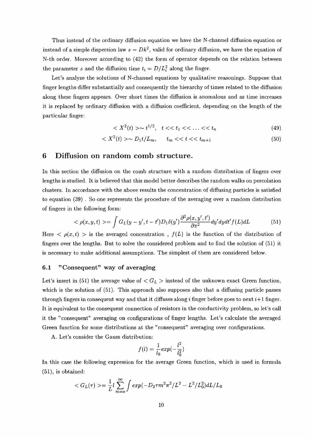Thus instead of the ordinary diffusion equation we have the N-channel diffusion equation or instead of a simple dispersion law  $s = Dk^2$ , valid for ordinary diffusion, we have the equation of N-th order. Moreover according to (42) the form of operator depends on the relation between the parameter *s* and the diffusion time  $t_i = D/L_i^2$  along the finger.

Let's analyze the solutions of N-channel equations by qualitative reasonings. Suppose that finger lengths differ substantially and consequently the hierarchy of times related to the diffusion along these fingers appears. Over short times the diffusion is anomalous and as time increases it is replaced by ordinary diffusion with a diffusion coefficient, depending on the length of the particular finger:

$$
\langle X^2(t) \rangle \sim t^{1/2}, \quad t \ll t_1 \ll \ldots \ll t_n \tag{49}
$$

$$
\langle X^2(t) \rangle \sim D_1 t / L_m, \qquad t_m \langle t \rangle \langle t \rangle \langle t_{m+1} \rangle \tag{50}
$$

### 6 Diffusion on random comb structure.

In this section the diffusion on the comb structure with a random distribution of fingers over lengths is studied. It is believed that this model better describes the random walks on percolation clusters. In accordance with the above results the concentration of diffusing particles is satisfied to equation (39) . So one represents the procedure of the averaging over a random distribution of fingers in the following form:

$$
\langle \rho(x,y,t) \rangle = \int G_L(y-y',t-t')D_1\delta(y') \frac{\partial^2 \rho(x,y',t')}{\partial x^2} dy'dydt' f(L)dL \tag{51}
$$

Here  $\langle \rho(x,t) \rangle$  is the averaged concentration,  $f(L)$  is the function of the distribution of fingers over the lengths. But to solve the considered problem and to find the solution of (51) it is necessary to make additional assumptions. The simplest of them are considered below.

### 6.1 "Consequent" way of averaging

Let's insert in (51) the average value of  $\langle G_L \rangle$  instead of the unknown exact Green function, which is the solution of  $(51)$ . This approach also supposes also that a diffusing particle passes through fingers in consequent way and that it diffuses along *i* finger before goes to next *i+1* finger. It is equivalent to the consequent connection of resistors in the conductivity problem, so let's call it the "consequent" averaging on configurations of finger lengths. Let's calculate the averaged Green function for some distributions at the "consequent" averaging over configurations.

A. Let's consider the Gauss distribution:

$$
f(l)=\frac{1}{l_0}exp(-\frac{l^2}{l_0^2})
$$

In this case the following expression for the average Green function, which is used in formula (51), is obtained:

$$
\langle G_L(\tau) \rangle = \frac{1}{L} l \sum_{m=0}^{\infty} \int exp(-D_2 \tau m^2 \pi^2 / L^2 - L^2 / L_0^2) dL / L_0
$$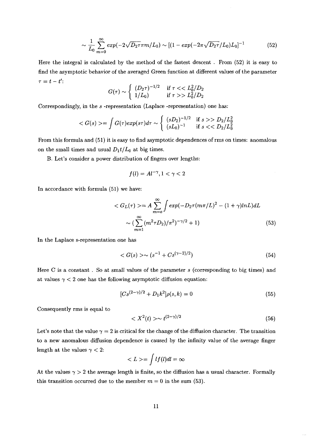$$
\sim \frac{1}{L_0} \sum_{m=0}^{\infty} \exp(-2\sqrt{D_2 \tau} \pi m/L_0) \sim [(1 - \exp(-2\pi \sqrt{D_2 \tau}/L_0)L_0]^{-1} \tag{52}
$$

Here the integral is calculated by the method of the fastest descent . From (52) it is easy to find the asymptotic behavior of the averaged Green function at different values of the parameter  $\tau = t - t'$ :

$$
G(\tau) \sim \begin{cases} (D_2 \tau)^{-1/2} & \text{if } \tau < < L_0^2/D_2 \\ 1/L_0 & \text{if } \tau > > L_0^2/D_2 \end{cases}
$$

Correspondingly, in the *s* -representation (Laplace -representation) one has:

$$
\langle G(s) \rangle = \int G(\tau) exp(s\tau) d\tau \sim \begin{cases} (sD_2)^{-1/2} & \text{if } s > D_2/L_0^2 \\ (sL_0)^{-1} & \text{if } s < D_2/L_0^2 \end{cases}
$$

From this formula and (51) it is easy to find asymptotic dependences of rms on times: anomalous on the small times and usual  $D_1t/L_0$  at big times.

B. Let's consider a power distribution of fingers over lengths:

$$
f(l) = Al^{-\gamma}, 1 < \gamma < 2
$$

In accordance with formula (51) we have:

$$
\langle G_L(\tau) \rangle = A \sum_{m=0}^{\infty} \int exp(-D_2 \tau (m\pi/L)^2 - (1+\gamma)lnL) dL
$$
  
 
$$
\sim \left(\sum_{m=1}^{\infty} (m^2 \tau D_2) / \pi^2\right)^{-\gamma/2} + 1)
$$
 (53)

In the Laplace s-representation one has

$$
\langle G(s) \rangle \sim (s^{-1} + Cs^{(\gamma - 2)/2}) \tag{54}
$$

Here C is a constant . So at small values of the parameter *s* (corresponding to big times) and at values  $\gamma$  < 2 one has the following asymptotic diffusion equation:

$$
[Cs^{(2-\gamma)/2} + D_1k^2]\rho(s,k) = 0
$$
\n(55)

Consequently rms is equal to

$$
\langle X^2(t) \rangle \sim t^{(2-\gamma)/2} \tag{56}
$$

Let's note that the value  $\gamma = 2$  is critical for the change of the diffusion character. The transition to a new anomalous diffusion dependence is caused by the infinity value of the average finger length at the values  $\gamma < 2$ :

$$
\langle L \rangle = \int l f(l) dl = \infty
$$

At the values  $\gamma > 2$  the average length is finite, so the diffusion has a usual character. Formally this transition occurred due to the member  $m = 0$  in the sum (53).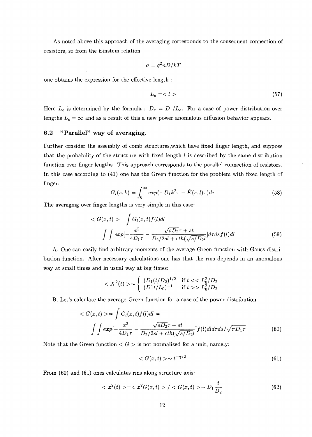As noted above this approach of the averaging corresponds to the consequent connection of resistors, so from the Einstein relation

$$
\sigma=q^2nD/kT
$$

one obtains the expression for the effective length :

$$
L_e = \langle l \rangle \tag{57}
$$

Here  $L_e$  is determined by the formula :  $D_e = D_1/L_e$ . For a case of power distribution over lengths  $L_e = \infty$  and as a result of this a new power anomalous diffusion behavior appears.

### **6.2 "Parallel" way of averaging.**

Further consider the assembly of comb structures,which have fixed finger length, and suppose that the probability of the structure with fixed length *I* is described by the same distribution function over finger lengths. This approach corresponds to the parallel connection of resistors. In this case according to (41) one has the Green function for the problem with fixed length of finger:

$$
G_l(s,k) = \int_0^\infty exp(-D_1k^2\tau - \hat{K}(s,l)\tau)d\tau
$$
\n(58)

The averaging over finger lengths is very simple in this case:

$$
\langle G(x,t) \rangle = \int G_l(x,t)f(l)dl =
$$

$$
\int \int exp[-\frac{x^2}{4D_1\tau} - \frac{\sqrt{sD_2\tau} + st}{D_2/2sl + cth(\sqrt{s/D_2}l}]d\tau ds f(l)dl
$$
(59)

A. One can easily find arbitrary moments of the average Green function with Gauss distribution function. After necessary calculations one has that the rms depends in an anomalous way at small times and in usual way at big times:

$$
\langle X^2(t) \rangle \sim \begin{cases} (D_1(t/D_2)^{1/2} & \text{if } t < L_0^2/D_2\\ (D1t/D_0)^{-1} & \text{if } t > L_0^2/D_2 \end{cases}
$$

B. Let's calculate the average Green function for a case of the power distribution:

$$
\langle G(x,t) \rangle = \int G_l(x,t)f(l)dl =
$$
  

$$
\int \int exp[-\frac{x^2}{4D_1\tau} - \frac{\sqrt{sD_2\tau} + st}{D_2/2sl + cth(\sqrt{s/D_2}l}]f(l)dld\tau ds/\sqrt{\pi D_1\tau}
$$
 (60)

Note that the Green function  $\langle G \rangle$  is not normalized for a unit, namely:

$$
\langle G(x,t) \rangle \sim t^{-\gamma/2} \tag{61}
$$

From (60) and (61) ones calculates rms along structure axis:

$$
\langle x^2(t) \rangle = \langle x^2 G(x, t) \rangle / \langle G(x, t) \rangle \sim D_1 \frac{t}{D_2} \tag{62}
$$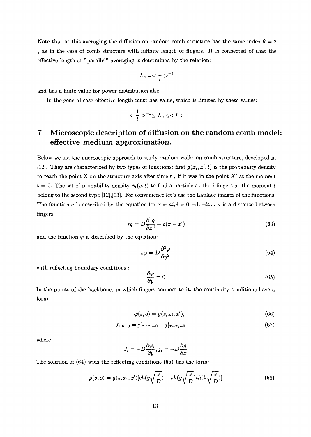Note that at this averaging the diffusion on random comb structure has the same index  $\theta = 2$ , as in the case of comb structure with infinite length of fingers. It is connected of that the effective length at "parallel" averaging is determined by the relation:

$$
L_e=<\frac{1}{l}>^{-1}
$$

and has a finite value for power distribution also.

In the general case effective length must has value, which is limited by these values:

$$
<\frac{1}{l}>^{-1}\leq L_e\leq
$$

# *7* Microscopic description of diffusion on the random comb model: effective medium approximation.

Below we use the microscopic approach to study random walks on comb structure, developed in [12]. They are characterized by two types of functions: first  $g(x_i, x', t)$  is the probability density to reach the point X on the structure axis after time t , if it was in the point *X'* at the moment  $t = 0$ . The set of probability density  $\phi_i(y, t)$  to find a particle at the *i* fingers at the moment *t* belong to the second type [12],[13]. For convenience let's use the Laplace images of the functions. The function g is described by the equation for  $x = ai$ ,  $i = 0, \pm 1, \pm 2, \ldots, a$  is a distance between fingers:

$$
sg = D\frac{\partial^2 g}{\partial x^2} + \delta(x - x')
$$
\n(63)

and the function  $\varphi$  is described by the equation:

$$
s\varphi = D\frac{\partial^2 \varphi}{\partial y^2} \tag{64}
$$

with reflecting boundary conditions :

$$
\frac{\partial \varphi}{\partial y} = 0 \tag{65}
$$

In the points of the backbone, in which fingers connect to it, the continuity conditions have a form:

$$
\varphi(s, o) = g(s, x_i, x'),\tag{66}
$$

$$
J_i|_{y=0} = j|_{x=x_i-0} - j|_{x-x_i+0}
$$
\n(67)

where

$$
J_i = -D\frac{\partial \varphi_i}{\partial y}, j_i = -D\frac{\partial g}{\partial x}
$$

The solution of (64) with the reflecting conditions (65) has the form:

$$
\varphi(s, o) = g(s, x_i, x')[ch(y\sqrt{\frac{s}{D}}) - sh(y\sqrt{\frac{s}{D}})th(l_i\sqrt{\frac{s}{D}})]
$$
\n(68)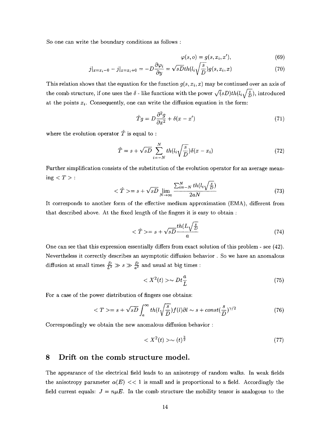So one can write the boundary conditions as follows :

$$
\varphi(s, o) = g(s, x_i, x'),\tag{69}
$$

$$
j|_{x=x_i-0} - j|_{x=x_i+0} = -D\frac{\partial \varphi_i}{\partial y} = \sqrt{sD}th(l_i\sqrt{\frac{s}{D}})g(s, x_i, x)
$$
\n(70)

This relation shows that the equation for the function  $g(s, x_i, x)$  may be continued over an axis of the comb structure, if one uses the  $\delta$  - like functions with the power  $\sqrt{(sD)th(l_i\sqrt{\frac{s}{D}})}$ , introduced at the points  $x_i$ . Consequently, one can write the diffusion equation in the form:

$$
\hat{T}g = D\frac{\partial^2 g}{\partial x^2} + \delta(x - x')\tag{71}
$$

where the evolution operator  $\hat{T}$  is equal to :

$$
\hat{T} = s + \sqrt{sD} \sum_{i=-N}^{N} th(l_i \sqrt{\frac{s}{D}}) \delta(x - x_i)
$$
\n(72)

Further simplification consists of the substitution of the evolution operator for an average mean- $\text{ing} < T$  > :

$$
\langle \hat{T} \rangle = s + \sqrt{sD} \lim_{N \to \infty} \frac{\sum_{i=-N}^{N} th(l_i \sqrt{\frac{s}{D}})}{2aN} \tag{73}
$$

It corresponds to another form of the effective medium approximation (EMA), different from that described above. At the fixed length of the fingers it is easy to obtain :

$$
\langle \hat{T} \rangle = s + \sqrt{s} D \frac{th(L\sqrt{\frac{s}{D}})}{a} \tag{74}
$$

One can see that this expression essentially differs from exact solution of this problem - see (42). Nevertheless it correctly describes an asymptotic diffusion behavior . So we have an anomalous diffusion at small times  $\frac{D}{L^2}\gg s\gg \frac{D}{a^2}$  and usual at big times :

$$
\langle X^2(t) \rangle \sim Dt \frac{a}{L} \tag{75}
$$

For a case of the power distribution of fingers one obtains:

$$
\langle T \rangle = s + \sqrt{sD} \int_{a}^{\infty} th(l \sqrt{\frac{s}{D}}) f(l) \partial l \sim s + const(\frac{s}{D})^{\gamma/2}
$$
 (76)

Correspondingly we obtain the new anomalous diffusion behavior :

$$
\langle X^2(t) \rangle \sim \langle t \rangle^{\frac{\gamma}{2}} \tag{77}
$$

### 8 Drift on the comb structure model.

The appearance of the electrical field leads to an anisotropy of random walks. In weak fields the anisotropy parameter  $\alpha(E)$  << 1 is small and is proportional to a field. Accordingly the field current equals:  $J = n\mu E$ . In the comb structure the mobility tensor is analogous to the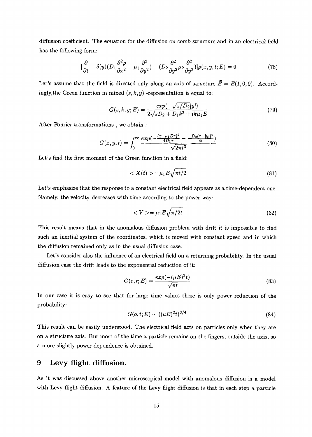diffusion coefficient. The equation for the diffusion on comb structure and in an electrical field has the following form:

$$
\left[\frac{\partial}{\partial t} - \delta(y)(D_1 \frac{\partial^2 \rho}{\partial x^2} + \mu_1 \frac{\partial^2}{\partial y^2}) - (D_2 \frac{\partial^2}{\partial y^2} \mu_2 \frac{\partial^2}{\partial y^2})\right] \rho(x, y, t; E) = 0 \tag{78}
$$

Let's assume that the field is directed only along an axis of structure  $\vec{E} = E(1,0,0)$ . Accordingly, the Green function in mixed  $(s, k, y)$  -representation is equal to:

$$
G(s,k,y;E) = \frac{exp(-\sqrt{s/D_2}|y|)}{2\sqrt{sD_2} + D_1k^2 + ik\mu_1E}
$$
\n(79)

After Fourier transformations , we obtain :

$$
G(x, y, t) = \int_0^\infty \frac{\exp(-\frac{(x - \mu_1 E \tau)^2}{4D_1 \tau} - \frac{-D_2(\tau + |y|)^2}{4t})}{\sqrt{2\pi t^3}} \tag{80}
$$

Let's find the first moment of the Green function in a field

$$
\langle X(t) \rangle = \mu_1 E \sqrt{\pi t/2} \tag{81}
$$

Let's emphasize that the response to a constant electrical field appears as a time-dependent one. Namely, the velocity decreases with time according to the power way:

$$
\langle V \rangle = \mu_1 E \sqrt{\pi/2t} \tag{82}
$$

This result means that in the anomalous diffusion problem with drift it is impossible to find such an inertial system of the coordinates, which is moved with constant speed and in which the diffusion remained only as in the usual diffusion case.

Let's consider also the influence of an electrical field on a returning probability. In the usual diffusion case the drift leads to the exponential reduction of it:

$$
G(o,t;E) = \frac{exp(-(\mu E)^2 t)}{\sqrt{\pi t}}\tag{83}
$$

In our case it is easy to see that for large time values there is only power reduction of the probability:

$$
G(o, t; E) \sim ((\mu E)^2 t)^{3/4}
$$
\n(84)

This result can be easily understood. The electrical field acts on particles only when they are on a structure axis. But most of the time a particle remains on the fingers, outside the axis, so a more slightly power dependence is obtained.

# 9 Levy flight diffusion.

As it was discussed above another microscopical model with anomalous diffusion is a model with Levy flight diffusion. A feature of the Levy flight diffusion is that in each step a particle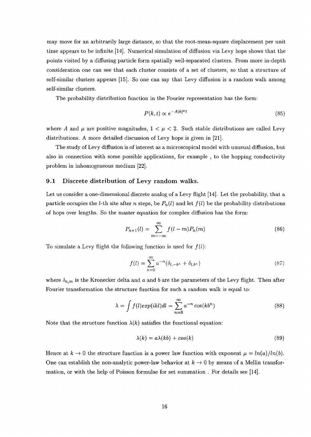may move for an arbitrarily large distance, so that the root-mean-square displacement per unit time appears to be infinite [14]. Numerical simulation of diffusion via Levy hops shows that the points visited by a diffusing particle form spatially well-separated clusters. From more in-depth consideration one can see that each cluster consists of a set of clusters, so that a structure of self-similar clusters appears [15]. So one can say that Levy diffusion is a random walk among self-similar clusters.

The probability distribution function in the Fourier representation has the form:

$$
P(k,t) \propto e^{-A|k|^\mu t} \tag{85}
$$

where A and  $\mu$  are positive magnitudes,  $1 < \mu < 2$ . Such stable distributions are called Levy distributions. A more detailed discussion of Levy hops is given in [21].

The study of Levy diffusion is of interest as a microscopical model with unusual diffusion, but also in connection with some possible applications, for example , to the hopping conductivity problem in inhomogeneous medium [22].

#### **9.1 Discrete distribution of Levy random walks.**

Let us consider a one-dimensional discrete analog of a Levy flight [14]. Let the probability, that a particle occupies the *l*-th site after *n* steps, be  $P_n(l)$  and let  $f(l)$  be the probability distributions of hops over lengths. So the master equation for complex diffusion has the form:

$$
P_{n+1}(l) = \sum_{m=-\infty}^{\infty} f(l-m) P_n(m)
$$
\n(86)

To simulate a Levy flight the following function is used for  $f(l)$ :

$$
f(l) = \sum_{n=0}^{\infty} a^{-n} (\delta_{l,-b^n} + \delta_{l,b^n})
$$
\n(87)

where  $\delta_{n,m}$  is the Kronecker delta and a and b are the parameters of the Levy flight. Then after Fourier transformation the structure function for such a random walk is equal to:

$$
\lambda = \int f(l)exp(ikl)dl = \sum_{n=0}^{\infty} a^{-n} \cos(kb^n)
$$
\n(88)

Note that the structure function  $\lambda(k)$  satisfies the functional equation:

$$
\lambda(k) = a\lambda(kb) + \cos(k) \tag{89}
$$

Hence at  $k \to 0$  the structure function is a power law function with exponent  $\mu = ln(a)/ln(b)$ . One can establish the non-analytic power-law behavior at  $k \to 0$  by means of a Mellin transformation, or with the help of Poisson formulae for set summation . For details see [14].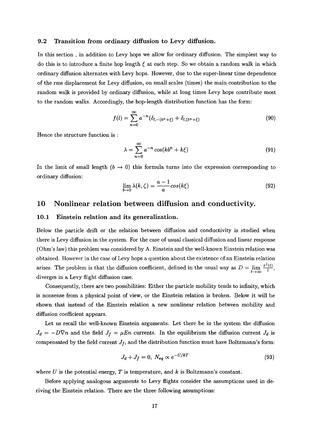#### **9.2 Transition from ordinary diffusion to Levy diffusion.**

In this section , in addition to Levy hops we allow for ordinary diffusion. The simplest way to do this is to introduce a finite hop length  $\xi$  at each step. So we obtain a random walk in which ordinary diffusion alternates with Levy hops. However, due to the super-linear time dependence of the rms displacement for Levy diffusion, on small scales (times) the main contribution to the random walk is provided by ordinary diffusion, while at long times Levy hops contribute most to the random walks. Accordingly, the hop-length distribution function has the form:

$$
f(l) = \sum_{n=0}^{\infty} a^{-n} (\delta_{l,-(b^{n}+\xi)} + \delta_{l,(b^{n}+\xi)}
$$
(90)

Hence the structure function is :

$$
\lambda = \sum_{n=0}^{\infty} a^{-n} \cos(kb^n + k\xi)
$$
\n(91)

In the limit of small length  $(b \rightarrow 0)$  this formula turns into the expression corresponding to ordinary diffusion:

$$
\lim_{b \to 0} \lambda(k,\zeta) = \frac{a-1}{a} \cos(k\xi)
$$
\n(92)

# 10 Nonlinear relation between diffusion and conductivity.

#### **10.1 Einstein relation and its generalization.**

Below the particle drift or the relation between diffusion and conductivity is studied when there is Levy diffusion in the system. For the case of usual classical diffusion and linear response (Ohm's law) this problem was considered by A. Einstein and the well-known Einstein relation was obtained. However in the case of Levy hops a question about the existence of an Einstein relation arises. The problem is that the diffusion coefficient, defined in the usual way as  $D = \lim_{t \to \infty} \frac{x^2(t)}{t}$ , diverges in a Levy flight diffusion case.

Consequently, there are two possibilities: Either the particle mobility tends to infinity, which is nonsense from a physical point of view, or the Einstein relation is broken. Below it will be shown that instead of the Einstein relation a new nonlinear relation between mobility and diffusion coefficient appears.

Let us recall the well-known Einstein arguments. Let there be in the system the diffusion  $J_d = -D\nabla n$  and the field  $J_f = \mu E n$  currents. In the equilibrium the diffusion current  $J_d$  is compensated by the field current  $J_f$ , and the distribution function must have Boltzmann's form:

$$
J_d + J_f = 0, \ N_{eq} \propto e^{-U/kT} \tag{93}
$$

where *U* is the potential energy, *T* is temperature, and *k* is Boltzmann's constant.

Before applying analogous arguments to Levy flights consider the assumptions used in deriving the Einstein relation. There are the three following assumptions: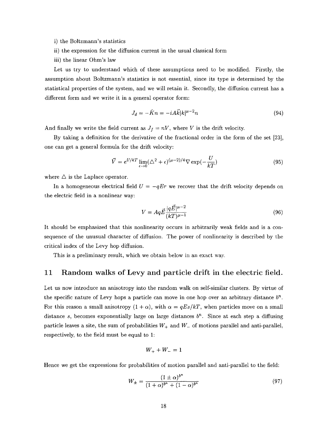i) the Boltzmann's statistics

- ii) the expression for the diffusion current in the usual classical form
- iii) the linear Ohm's law

Let us try to understand which of these assumptions need to be modified. Firstly, the assumption about Boltzmann's statistics is not essential, since its type is determined by the statistical properties of the system, and we will retain it. Secondly, the diffusion current has a different form and we write it in a general operator form:

$$
J_d = -\hat{K}n = -iA\vec{k}|k|^{\mu-2}n\tag{94}
$$

And finally we write the field current as  $J_f = nV$ , where V is the drift velocity.

By taking a definition for the derivative of the fractional order in the form of the set [23], one can get a general formula for the drift velocity:

$$
\vec{V} = e^{U/kT} \lim_{\epsilon \to 0} (\Delta^2 + \epsilon)^{(\mu - 2)/4} \nabla \exp(-\frac{U}{kT})
$$
\n(95)

where  $\triangle$  is the Laplace operator.

In a homogeneous electrical field  $U = -qEr$  we recover that the drift velocity depends on the electric field in a nonlinear way:

$$
V = Aq \vec{E} \frac{|q \vec{E}|^{\mu - 2}}{(kT)^{\mu - 1}} \tag{96}
$$

It should be emphasized that this nonlinearity occurs in arbitrarily weak fields and is a consequence of the unusual character of diffusion. The power of nonlinearity is described by the critical index of the Levy hop diffusion.

This is a preliminary result, which we obtain below in an exact way.

# 11 Random walks of Levy and particle drift in the electric field.

Let us now introduce an anisotropy into the random walk on self-similar clusters. By virtue of the specific nature of Levy hops a particle can move in one hop over an arbitrary distance  $b<sup>n</sup>$ . For this reason a small anisotropy  $(1 + \alpha)$ , with  $\alpha = qEs/kT$ , when particles move on a small distance *s,* becomes exponentially large on large distances *b<sup>n</sup> .* Since at each step a diffusing particle leaves a site, the sum of probabilities *W+* and W\_ of motions parallel and anti-parallel, respectively, to the field must be equal to 1:

$$
W_+ + W_- = 1
$$

Hence we get the expressions for probabilities of motion parallel and anti-parallel to the field:

$$
W_{\pm} = \frac{(1 \pm \alpha)^{b^n}}{(1 + \alpha)^{b^n} + (1 - \alpha)^{b^n}}
$$
(97)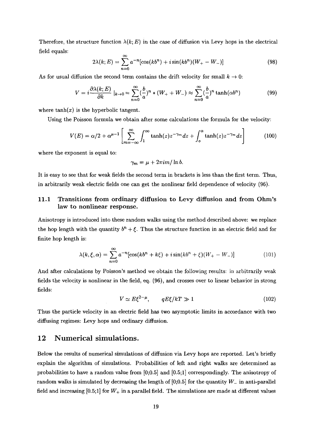Therefore, the structure function  $\lambda(k; E)$  in the case of diffusion via Levy hops in the electrical field equals:

$$
2\lambda(k;E) = \sum_{n=0}^{\infty} a^{-n} [\cos(kb^{n}) + i \sin(kb^{n}) (W_{+} - W_{-})]
$$
 (98)

As for usual diffusion the second term contains the drift velocity for small  $k \to 0$ :

$$
V = i \frac{\partial \lambda(k; E)}{\partial k} |_{k \to 0} = \sum_{n=0}^{\infty} (\frac{b}{a})^n * (W_+ + W_-) \approx \sum_{n=0}^{\infty} (\frac{b}{a})^n \tanh(\alpha b^n)
$$
(99)

where  $tanh(x)$  is the hyperbolic tangent.

Using the Poisson formula we obtain after some calculations the formula for the velocity:

$$
V(E) = \alpha/2 + \alpha^{\mu-1} \left[ \sum_{m=-\infty}^{\infty} \int_{1}^{\infty} \tanh(z) z^{-\gamma_m} dz + \int_{0}^{\alpha} \tanh(z) z^{-\gamma_m} dz \right]
$$
 (100)

where the exponent is equal to:

$$
\gamma_m = \mu + 2\pi i m / \ln b.
$$

It is easy to see that for weak fields the second term in brackets is less than the first term. Thus, in arbitrarily weak electric fields one can get the nonlinear field dependence of velocity (96).

### **11.1 Transitions from ordinary diffusion to Levy diffusion and from Ohm's law to nonlinear response.**

Anisotropy is introduced into these random walks using the method described above: we replace the hop length with the quantity  $b^n + \xi$ . Thus the structure function in an electric field and for finite hop length is:

$$
\lambda(k,\xi,\alpha) = \sum_{n=0}^{\infty} a^{-n} [\cos(kb^{n} + k\xi) + i \sin(kb^{n} + \xi)(W_{+} - W_{-})]
$$
(101)

And after calculations by Poisson's method we obtain the following results: in arbitrarily weak fields the velocity is nonlinear in the field, eq. (96), and crosses over to linear behavior in strong fields:

$$
V \simeq E\xi^{2-\mu}, \qquad qE\xi/kT \gg 1 \tag{102}
$$

Thus the particle velocity in an electric field has two asymptotic limits in accordance with two diffusing regimes: Levy hops and ordinary diffusion.

# 12 Numerical simulations.

Below the results of numerical simulations of diffusion via Levy hops are reported. Let's briefly explain the algorithm of simulations. Probabilities of left and right walks are determined as probabilities to have a random value from [0;0.5] and [0.5; 1] correspondingly. The anisotropy of random walks is simulated by decreasing the length of [0;0.5] for the quantity *W\_* in anti-parallel field and increasing  $[0.5;1]$  for  $W_+$  in a parallel field. The simulations are made at different values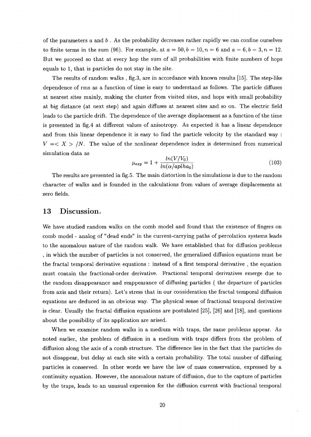of the parameters *a* and *b* . As the probability decreases rather rapidly we can confine ourselves to finite terms in the sum (96). For example, at  $a = 50, b = 10, n = 6$  and  $a = 6, b = 3, n = 12$ . But we proceed so that at every hop the sum of all probabilities with finite numbers of hops equals to 1, that is particles do not stay in the site.

The results of random walks, fig. 3, are in accordance with known results [15]. The step-like dependence of rms as a function of time is easy to understand as follows. The particle diffuses at nearest sites mainly, making the cluster from visited sites, and hops with small probability at big distance (at next step) and again diffuses at nearest sites and so on. The electric field leads to the particle drift. The dependence of the average displacement as a function of the time is presented in fig.4 at different values of anisotropy. As expected it has a linear dependence and from this linear dependence it is easy to find the particle velocity by the standard way :  $V = \langle X \rangle/N$ . The value of the nonlinear dependence index is determined from numerical simulation data as

$$
\mu_{exp} = 1 + \frac{ln(V/V_0)}{ln(\alpha/apha_0)}
$$
\n(103)

The results are presented in fig-5. The main distortion in the simulations is due to the random character of walks and is founded in the calculations from values of average displacements at zero fields.

### 13 Discussion.

We have studied random walks on the comb model and found that the existence of fingers on comb model - analog of "dead ends" in the current-carrying paths of percolation systems leads to the anomalous nature of the random walk. We have established that for diffusion problems , in which the number of particles is not conserved, the generalized diffusion equations must be the fractal temporal derivative equations : instead of a first temporal derivative , the equation must contain the fractional-order derivative. Fractional temporal derivatives emerge due to the random disappearance and reappearance of diffusing particles ( the departure of particles from axis and their return). Let's stress that in our consideration the fractal temporal diffusion equations are deduced in an obvious way. The physical sense of fractional temporal derivative is clear. Usually the fractal diffusion equations are postulated [25], [26] and [18], and questions about the possibility of its application are arised.

When we examine random walks in a medium with traps, the same problems appear. As noted earlier, the problem of diffusion in a medium with traps differs from the problem of diffusion along the axis of a comb structure. The difference lies in the fact that the particles do not disappear, but delay at each site with a certain probability. The total number of diffusing particles is conserved. In other words we have the law of mass conservation, expressed by a continuity equation. However, the anomalous nature of diffusion, due to the capture of particles by the traps, leads to an unusual expression for the diffusion current with fractional temporal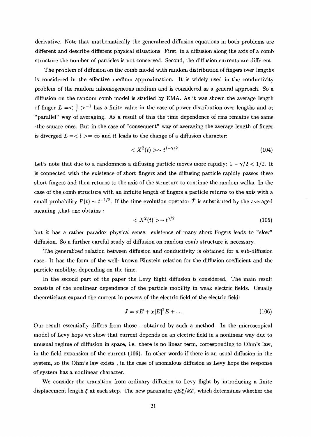derivative. Note that mathematically the generalized diffusion equations in both problems are different and describe different physical situations. First, in a diffusion along the axis of a comb structure the number of particles is not conserved. Second, the diffusion currents are different.

The problem of diffusion on the comb model with random distribution of fingers over lengths is considered in the effective medium approximation. It is widely used in the conductivity problem *of* the random inhomogeneous medium and is considered as a general approach. So a diffusion on the random comb model is studied by EMA. As it was shown the average length of finger  $L = \frac{1}{l}$  ><sup>-1</sup> has a finite value in the case of power distribution over lengths and at " parallel" way of averaging. As a result of this the time dependence of rms remains the same -the square ones. But in the case of "consequent" way of averaging the average length of finger is diverged  $L = < l > = \infty$  and it leads to the change of a diffusion character:

$$
\langle X^2(t) \rangle \sim t^{1-\gamma/2} \tag{104}
$$

Let's note that due to a randomness a diffusing particle moves more rapidly:  $1 - \gamma/2 < 1/2$ . It is connected with the existence of short fingers and the diffusing particle rapidly passes these short fingers and then returns to the axis of the structure to continue the random walks. In the case of the comb structure with an infinite length of fingers a particle returns to the axis with a  ${\rm small\ probability}\ P(t) \sim t^{-1/2}.$  If the time evolution operator  $\hat T$  is substituted by the averaged meaning ,that one obtains :

$$
\langle X^2(t) \rangle \sim t^{\gamma/2} \tag{105}
$$

but it has a rather paradox physical sense: existence of many short fingers leads to "slow" diffusion. So a further careful study of diffusion on random comb structure is necessary.

The generalized relation between diffusion and conductivity is obtained for a sub-diffusion case. It has the form of the well- known Einstein relation for the diffusion coefficient and the particle mobility, depending on the time.

In the second part of the paper the Levy flight diffusion is considered. The main result consists of the nonlinear dependence of the particle mobility in weak electric fields. Usually theoreticians expand the current in powers of the electric field of the electric field:

$$
J = \sigma E + \chi |E|^2 E + \dots \tag{106}
$$

Our result essentially differs from those , obtained by such a method. In the microscopical model of Levy hops we show that current depends on an electric field in a nonlinear way due to unusual regime of diffusion in space, i.e. there is no linear term, corresponding to Ohm's law, in the field expansion of the current (106). In other words if there is an usual diffusion in the system, so the Ohm's law exists , in the case of anomalous diffusion as Levy hops the response of system has a nonlinear character.

We consider the transition from ordinary diffusion to Levy flight by introducing a finite displacement length  $\xi$  at each step. The new parameter  $qE\xi/kT$ , which determines whether the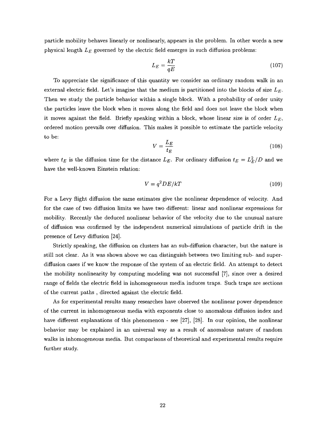particle mobility behaves linearly or nonlinearly, appears in the problem. In other words a new physical length *LE* governed by the electric field emerges in such diffusion problems:

$$
L_E = \frac{kT}{qE} \tag{107}
$$

To appreciate the significance of this quantity we consider an ordinary random walk in an external electric field. Let's imagine that the medium is partitioned into the blocks of size *LE-*Then we study the particle behavior within a single block. With a probability of order unity the particles leave the block when it moves along the field and does not leave the block when it moves against the field. Briefly speaking within a block, whose linear size is of order  $L<sub>E</sub>$ , ordered motion prevails over diffusion. This makes it possible to estimate the particle velocity to be:

$$
V = \frac{L_E}{t_E} \tag{108}
$$

where  $t_E$  is the diffusion time for the distance  $L_E$ . For ordinary diffusion  $t_E = L_E^2/D$  and we have the well-known Einstein relation:

$$
V = q^2 DE/kT \tag{109}
$$

For a Levy flight diffusion the same estimates give the nonlinear dependence of velocity. And for the case of two diffusion limits we have two different: linear and nonlinear expressions for mobility. Recently the deduced nonlinear behavior of the velocity due to the unusual nature of diffusion was confirmed by the independent numerical simulations of particle drift in the presence of Levy diffusion [24].

Strictly speaking, the diffusion on clusters has an sub-diffusion character, but the nature is still not clear. As it was shown above we can distinguish between two limiting sub- and superdiffusion cases if we know the response of the system of an electric field. An attempt to detect the mobility nonlinearity by computing modeling was not successful [7], since over a desired range of fields the electric field in inhomogeneous media induces traps. Such traps are sections of the current paths , directed against the electric field.

As for experimental results many researches have observed the nonlinear power dependence of the current in inhomogeneous media with exponents close to anomalous diffusion index and have different explanations of this phenomenon - see [27], [28]. In our opinion, the nonlinear behavior may be explained in an universal way as a result of anomalous nature of random walks in inhomogeneous media. But comparisons of theoretical and experimental results require further study.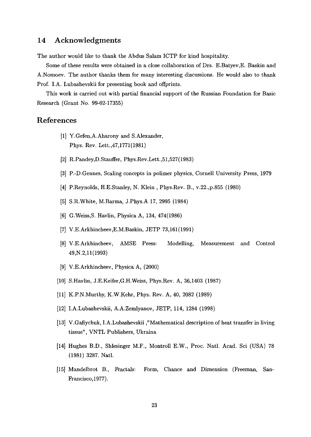## 14 Acknowledgments

The author would like to thank the Abdus Salam ICTP for kind hospitality.

Some of these results were obtained in a close collaboration of Drs. E.Batyev,E- Baskin and A.Nomoev. The author thanks them for many interesting discussions. He would also to thank Prof. LA. Lubashevskii for presenting book and offprints.

This work is carried out with partial financial support of the Russian Foundation for Basic Research (Grant No. 99-02-17355)

### References

- [1] Y.Gefen,A.Aharony and S.Alexander, Phys. Rev. Lett.,47,1771 (1981)
- [2] R.Pandey,D.Stauffer, Phys.Rev.Lett.,51,527(1983)
- [3] P.-D.Gennes, Scaling concepts in polimer physics, Cornell University Press, 1979
- [4] P.Reynolds, H.E.Stanley, N. Klein , Phys.Rev. B., v.22.,p.855 (1980)
- [5] S.R.White, M.Barma, J.Phys.A 17, 2995 (1984)
- [6] G.Weiss,S. Havlin, Physica A, 134, 474(1986)
- [7] V.E.Arkhincheev,E.M.Baskin, JETP 73,161(1991)
- [8] V.E.Arkhincheev, AMSE Press: Modelling, Measurement and Control 49,N.2,11(1993)
- [9] V.E.Arkhincheev, Physica A, (2000)
- [10] S.Havlin, J.E.Keifer,G.H.Weiss, Phys.Rev. A, 36,1403 (1987)
- [11] K.P.N.Murthy, K.W.Kehr, Phys. Rev. A, 40, 2082 (1989)
- [12] I.A.Lubashevskii, A.A.Zemlyanov, JETP, 114, 1284 (1998)
- [13] V.Gafiychuk, I.A.Lubashevskii /'Mathematical description of heat transfer in living tissue", VNTL Publishers, Ukraina
- [14] Hughes B.D., Shlesinger M.F., Montroll E.W., Proc. Natl. Acad. Sci (USA) 78 (1981) 3287. Natl.
- [15] Mandelbrot B., Fractals: Form, Chance and Dimension (Freeman, San-Francisco, 1977).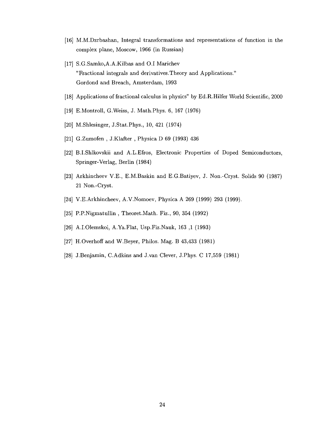- [16] M.M.Dzrbashan, Integral transformations and representations of function in the complex plane, Moscow, 1966 (in Russian)
- [17] S.G.Samko, A.A.Kilbas and O.I Marichev "Fractional integrals and derivatives.Theory and Applications." Gordond and Breach, Amsterdam, 1993
- [18] Applications of fractional calculus in physics" by Ed.R.Hilfer World Scientific, 2000
- [19] E.Montroll, G.Weiss, J. Math.Phys. 6, 167 (1976)
- [20] M.Shlesinger, J.Stat.Phys., 10, 421 (1974)
- [21] G.Zumofen , J.Klafter , Physica D 69 (1993) 436
- [22] B.I.Shlkovskii and A.L.Efros, Electronic Properties of Doped Semiconductors, Springer-Verlag, Berlin (1984)
- [23] Arkhincheev V.E., E.M.Baskin and E.G.Batiyev, J. Non.-Cryst. Solids 90 (1987) 21 Non.-Cryst.
- [24] V.E.Arkhincheev, A.V.Nomoev, Physica A 269 (1999) 293 (1999).
- [25] P.P.Nigmatullin , Theoret.Math. Fiz., 90, 354 (1992)
- [26] A.I.Olemskoi, A.Ya.Flat, Usp.Fiz.Nauk, 163 ,1 (1993)
- [27] H.Overhoff and W.Beyer, Philos. Mag. B 43,433 (1981)
- [28] J.Benjamin, C.Adkins and J.van Clever, J.Phys. C 17,559 (1981)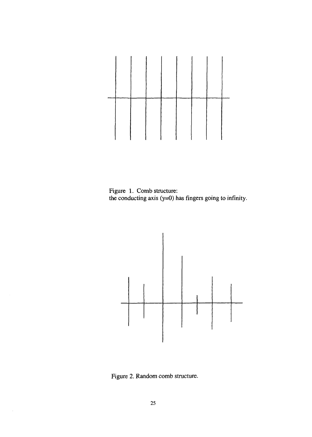

Figure 1. Comb structure: the conducting axis ( $y=0$ ) has fingers going to infinity.



Figure 2. Random comb structure.

 $\ddot{\phantom{a}}$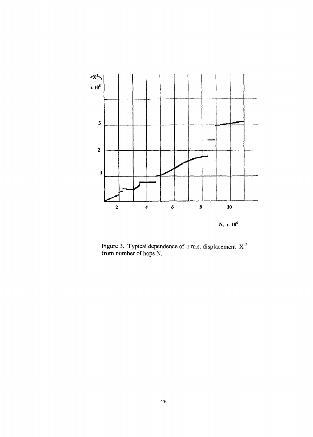

Figure 3. Typical dependence of r.m.s. displacement  $X^2$ from number of hops N.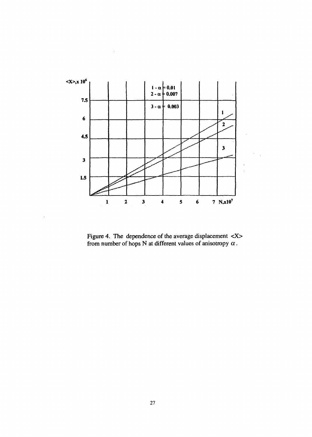

Figure 4. The dependence of the average displacement  $\langle X \rangle$ from number of hops N at different values of anisotropy  $\alpha$ .